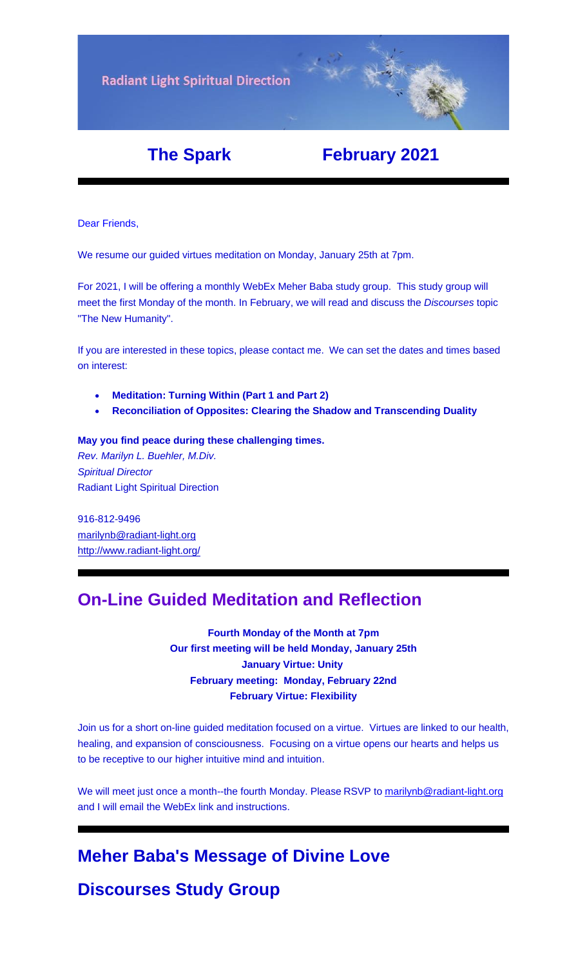

# **The Spark February 2021**

Dear Friends,

We resume our guided virtues meditation on Monday, January 25th at 7pm.

For 2021, I will be offering a monthly WebEx Meher Baba study group. This study group will meet the first Monday of the month. In February, we will read and discuss the *[Discourses](https://u18544456.ct.sendgrid.net/ls/click?upn=R-2Bl7NGDLiuME3v4KUDXT9rQd7KeZPQi0F131dKEdeDxs3GXZgvKprVOWqdDNeH0xaZmDRkjrUGzqowDA8h3XTg-3D-3DxNG7_FiQrYGg1YZElR924caalGEP3AHGeF79ulf5jxC9Fbcd8IfoR4p2-2FW0xZvJaX6Y3z75H0Yw3uGmHJTH3azVPJ5HTXrZ-2Ft5OVM5Vv31JFvUf3sl-2Bt2VvZL3mo9-2FDK3jGCp4VmASFY3ysESE08-2F4TEA9g2wE-2BgyGj4O7W8UTHjlCDpi2-2B0etvjrdkEBgwpmIwo2SHWvT-2BWmR19oZJ93OtPZYYG5sSoN-2FhLgMe6Cc2oAJxqXHKyIHVV9EGZLqz71xnHhBPa504G6H4yrmYAwbz1leB1RH908-2BWuHivHnq-2BNoIIe4UWLlxDGeqpswismpZ7IxFSRF0ZP-2FDkp-2FkcZpDjV0TFsLLnTbKj-2FEO29qvdcv4uCCY3ZW7Qyq5QUm0bZoj6rldBNKiceHmTpBSDTtQizTymU1BRDGGj5lcxPrm5GBeSF-2BKEry2d-2FRMu1dcU-2BGLM7Mys1msydS-2FIl0HL8PckBDLFGbQHombiujPt-2Fq2cmRi8LsQJovra8QyOOyiRDrhbHLMeUCJ-2BaCUe3IiVjn7YUEiDDE3gtQpgmA2RQKWL5Co0Og-2Fscx0nNeyH9GMKk-2FfT7k4x902vYfQJ24DrV2IDvdNMbwcs1gU46SSi1WgjNAeSXoX-2FVFDUilDxvcmgLzih2OKM-2Bs4Gkee7C3Q8s-2FXYzuIc5GmTR6ojjr8CZmq5WGrLs79rIBV6wM5d-2FWOJjJHvq6iTFQ10PhFLwnZS-2F2g19FVSLRQar1ADkr2J5iCGrYNzQKyzKgZkjLcHfxxtH9kEg51LOlDiOCvjwn7exIc-2BTpLyvh3Ps3Jw7Xqz3ozTYbHuu1w-2BncWBPDrvZ4EGYOj66PAnlY7vl3nIHktlxgzABp70fGd8bNTFpB-2BtQomW0VLZF-2FgTHOWrYKGQGHWdfXWN-2BF)* topic "The New Humanity".

If you are interested in these topics, please contact me. We can set the dates and times based on interest:

- **Meditation: Turning Within (Part 1 and Part 2)**
- **[Reconciliation of Opposites: Clearing the Shadow and Transcending Dualit](https://u18544456.ct.sendgrid.net/ls/click?upn=YO6TcuTs2Xz6NlJVKcEQZiklIDFGo-2FRGaP7ZnccBbQBGusmZfNmfWP2-2F0bS7gDEvg7s-2FT-2FketP1vrwJqVOk03W8vVkbj2WqZ2HvU-2F4FbrkY-3DhLdy_FiQrYGg1YZElR924caalGEP3AHGeF79ulf5jxC9Fbcd8IfoR4p2-2FW0xZvJaX6Y3z75H0Yw3uGmHJTH3azVPJ5HTXrZ-2Ft5OVM5Vv31JFvUf3sl-2Bt2VvZL3mo9-2FDK3jGCp4VmASFY3ysESE08-2F4TEA9g2wE-2BgyGj4O7W8UTHjlCDpi2-2B0etvjrdkEBgwpmIwo2SHWvT-2BWmR19oZJ93OtPZYYG5sSoN-2FhLgMe6Cc2oAJxqXHKyIHVV9EGZLqz71xnHhBPa504G6H4yrmYAwbz1leB1RH908-2BWuHivHnq-2BNoIIe4UWLlxDGeqpswismpZ7IxFSRF0ZP-2FDkp-2FkcZpDjV0TFsLLnTbKj-2FEO29qvdcv4uCCY3ZW7Qyq5QUm0bZoj6rldBNKiceHmTpBSDTtQizTymU1BRDGGj5lcxPrm5GBeSF-2BKEry2d-2FRMu1dcU-2BGLM7Mys1msydS-2FIl0HL8PckBDLFGbQHombiujPt-2Fq2cmRi8LsQJovra8QyOOyiRDrhbHLMeUCJ-2BaCUe3IiVjn7YUEiDDE3gtQpgmA2RQKWL5Co0Og-2Fscx0nNeyH9GMKk-2FfT7k4x902vYfQJ24DrV2IDvdNMbwcs1gU46SSi1WgjNAeSXoX-2FVFDUilDxvcmgLzih2OKM-2Bs4Gkee7C3Q8s-2FXYzuIc5GmTR6ojjr8CZmq5WGrLs79rIBV6wM5d-2FWOJjJHvq6iTFQ10PhFLwnZS-2F2g19FVVaHBDF9QEOkZ-2Bmhmn1WVeUWjm7URJHTEPk37Mu6hZYFcpntYJhAOycNVm6NDS6XxY8VuJvF0QtstprHnSKcwB7qWMS4qTTF5VK8N0UePAGwCbb9s2FkzId6SxGoayWIYodohffYIKYgt0zYf9E1r1-2FF6MjKsuXQmU5qXaO6sn7K)y**

#### **May you find peace during these challenging times.**

*Rev. Marilyn L. Buehler, M.Div. Spiritual Director* Radiant Light Spiritual Direction

916-812-9496 [marilynb@radiant-light.org](mailto:marilynb@radiant-light.org) [http://www.radiant-light.org/](https://u18544456.ct.sendgrid.net/ls/click?upn=R-2Bl7NGDLiuME3v4KUDXT9h2qnOPi-2Bv0NUDPOAvqgwbSGaV-2BAb3Xm4aVOKtH6HhU9m-2FTXOQwSXWi82XNXQXmW0Ybjzw6tS-2BT4DLdUHTzXugFWK15x1FY1bK6oAs60zDHaPdPx_FiQrYGg1YZElR924caalGEP3AHGeF79ulf5jxC9Fbcd8IfoR4p2-2FW0xZvJaX6Y3z75H0Yw3uGmHJTH3azVPJ5HTXrZ-2Ft5OVM5Vv31JFvUf3sl-2Bt2VvZL3mo9-2FDK3jGCp4VmASFY3ysESE08-2F4TEA9g2wE-2BgyGj4O7W8UTHjlCDpi2-2B0etvjrdkEBgwpmIwo2SHWvT-2BWmR19oZJ93OtPZYYG5sSoN-2FhLgMe6Cc2oAJxqXHKyIHVV9EGZLqz71xnHhBPa504G6H4yrmYAwbz1leB1RH908-2BWuHivHnq-2BNoIIe4UWLlxDGeqpswismpZ7IxFSRF0ZP-2FDkp-2FkcZpDjV0TFsLLnTbKj-2FEO29qvdcv4uCCY3ZW7Qyq5QUm0bZoj6rldBNKiceHmTpBSDTtQizTymU1BRDGGj5lcxPrm5GBeSF-2BKEry2d-2FRMu1dcU-2BGLM7Mys1msydS-2FIl0HL8PckBDLFGbQHombiujPt-2Fq2cmRi8LsQJovra8QyOOyiRDrhbHLMeUCJ-2BaCUe3IiVjn7YUEiDDE3gtQpgmA2RQKWL5Co0Og-2Fscx0nNeyH9GMKk-2FfT7k4x902vYfQJ24DrV2IDvdNMbwcs1gU46SSi1WgjNAeSXoX-2FVFDUilDxvcmgLzih2OKM-2Bs4Gkee7C3Q8s-2FXYzuIc5GmTR6ojjr8CZmq5WGrLs79rIBV6wM5d-2FWOJjJHvq6iTFQ10PhFLwnZS-2F2g19FVeYTbiT8M0bWfCYL2bv-2Bhr9Snq1TnnKH8M7Zs4JQgsdnJtFVCpkTdInU8JITETyM0ZvzMcrATNgKyl9LnI-2Bgek5fSnVKTidufuMAnvZOPUoOI0yeiDKSXP0Fm9xsytscTeVLYoF1Ym3-2BjvSBp2hUHPaVbknZIEci40bRrxE7jLHC)

## **On-Line Guided Meditation and Reflection**

**Fourth Monday of the Month at 7pm Our first meeting will be held Monday, January 25th January Virtue: Unity February meeting: Monday, February 22nd February Virtue: Flexibility**

Join us for a short on-line guided meditation focused on a virtue. Virtues are linked to our health, healing, and expansion of consciousness. Focusing on a virtue opens our hearts and helps us to be receptive to our higher intuitive mind and intuition.

We will meet just once a month--the fourth Monday. Please RSVP to [marilynb@radiant-light.org](mailto:marilynb@radiant-light.org) and I will email the WebEx link and instructions.

## **Meher Baba's Message of Divine Love**

**Discourses Study Group**